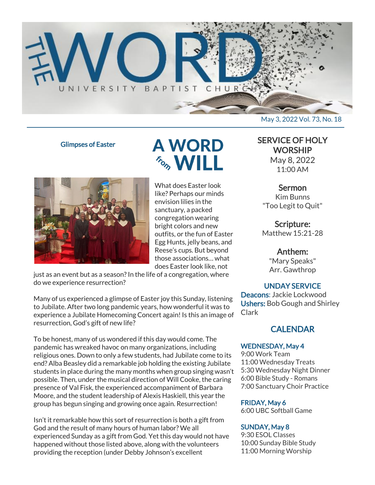

Glimpses of Easter



**A WORD** *For WILL* 

What does Easter look like? Perhaps our minds envision lilies in the sanctuary, a packed congregation wearing bright colors and new outfits, or the fun of Easter Egg Hunts, jelly beans, and Reese's cups. But beyond those associations… what does Easter look like, not

just as an event but as a season? In the life of a congregation, where do we experience resurrection?

Many of us experienced a glimpse of Easter joy this Sunday, listening to Jubilate. After two long pandemic years, how wonderful it was to experience a Jubilate Homecoming Concert again! Is this an image of resurrection, God's gift of new life?

To be honest, many of us wondered if this day would come. The pandemic has wreaked havoc on many organizations, including religious ones. Down to only a few students, had Jubilate come to its end? Alba Beasley did a remarkable job holding the existing Jubilate students in place during the many months when group singing wasn't possible. Then, under the musical direction of Will Cooke, the caring presence of Val Fisk, the experienced accompaniment of Barbara Moore, and the student leadership of Alexis Haskiell, this year the group has begun singing and growing once again. Resurrection!

Isn't it remarkable how this sort of resurrection is both a gift from God and the result of many hours of human labor? We all experienced Sunday as a gift from God. Yet this day would not have happened without those listed above, along with the volunteers providing the reception (under Debby Johnson's excellent

# SERVICE OF HOLY

**WORSHIP** May 8, 2022 11:00 AM

## Sermon

Kim Bunns "Too Legit to Quit"

Scripture: Matthew 15:21-28

# Anthem:

"Mary Speaks" Arr. Gawthrop

# UNDAY SERVICE

Deacons: Jackie Lockwood Ushers: Bob Gough and Shirley Clark

# **CALENDAR**

#### WEDNESDAY, May 4

9:00 Work Team 11:00 Wednesday Treats 5:30 Wednesday Night Dinner 6:00 Bible Study - Romans 7:00 Sanctuary Choir Practice

### FRIDAY, May 6

6:00 UBC Softball Game

### SUNDAY, May 8

9:30 ESOL Classes 10:00 Sunday Bible Study 11:00 Morning Worship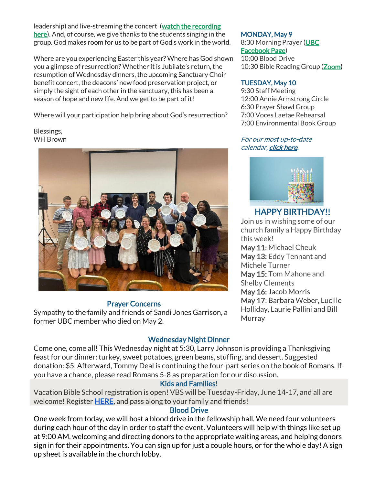leadership) and live-streaming the concert (watch the recording [here\)](https://youtu.be/jHMXrGFvxWk?t=457). And, of course, we give thanks to the students singing in the group. God makes room for us to be part of God's work in the world.

Where are you experiencing Easter this year? Where has God shown you a glimpse of resurrection? Whether it is Jubilate's return, the resumption of Wednesday dinners, the upcoming Sanctuary Choir benefit concert, the deacons' new food preservation project, or simply the sight of each other in the sanctuary, this has been a season of hope and new life. And we get to be part of it!

Where will your participation help bring about God's resurrection?

Blessings, Will Brown



#### Prayer Concerns

Sympathy to the family and friends of Sandi Jones Garrison, a former UBC member who died on May 2.

#### MONDAY, May 9

8:30 Morning Prayer [\(UBC](https://www.facebook.com/UniversityBaptistChurchCharlottesville) [Facebook Page\)](https://www.facebook.com/UniversityBaptistChurchCharlottesville) 10:00 Blood Drive 10:30 Bible Reading Group (**Zoom**)

#### TUESDAY, May 10

9:30 Staff Meeting 12:00 Annie Armstrong Circle 6:30 Prayer Shawl Group 7:00 Voces Laetae Rehearsal 7:00 Environmental Book Group

#### For our most up-to-date calendar, [click here.](https://universitybaptist.org/calendar/)



# HAPPY BIRTHDAY!!

Join us in wishing some of our church family a Happy Birthday this week!

May 11: Michael Cheuk May 13: Eddy Tennant and Michele Turner May 15: Tom Mahone and Shelby Clements May 16: Jacob Morris May 17: Barbara Weber, Lucille Holliday, Laurie Pallini and Bill **Murray** 

# Wednesday Night Dinner

Come one, come all! This Wednesday night at 5:30, Larry Johnson is providing a Thanksgiving feast for our dinner: turkey, sweet potatoes, green beans, stuffing, and dessert. Suggested donation: \$5. Afterward, Tommy Deal is continuing the four-part series on the book of Romans. If you have a chance, please read Romans 5-8 as preparation for our discussion.

### Kids and Families!

Vacation Bible School registration is open! VBS will be Tuesday-Friday, June 14-17, and all are welcome! Register **HERE**, and pass along to your family and friends!

#### Blood Drive

One week from today, we will host a blood drive in the fellowship hall. We need four volunteers during each hour of the day in order to staff the event. Volunteers will help with things like set up at 9:00 AM, welcoming and directing donors to the appropriate waiting areas, and helping donors sign in for their appointments. You can sign up for just a couple hours, or for the whole day! A sign up sheet is available in the church lobby.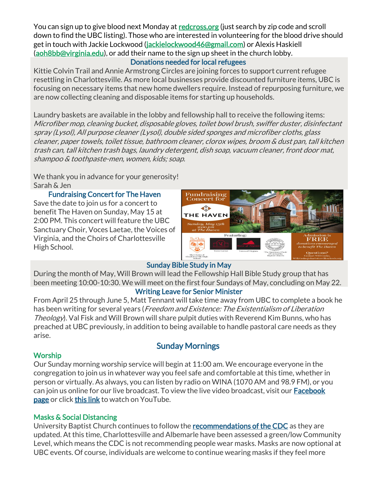You can sign up to give blood next Monday at [redcross.org](https://r20.rs6.net/tn.jsp?f=001cRtwvIetJvHtNYwafCY1-i8561SIRha9XT8d9GaPUSilIxAgOO_fx9w_dzza60DqEuZnnYalzV3ujVkCJvBWsKU15QM-ucD0Wqn8HnSuJ4cC4Klv5KazuNVovj_3yWLopz3aNVgC2JakX6k4pWPOHqopf2oJG83-C-gjlEI9fWNmLFYh3Cu_rqHGO89DgWTjFPNgNnN55Dy7FZ95wdbB-u2I7-S6bDhgo4LfzvfjVh0lEaYQBQC4aWlWSD0AnBP4&c=7nu3PqZX252H5QKfsg7DeODasJz74Wvsww-R6e30cY0mmrkYzZa4NA==&ch=qq5LrxIf6wVIIsXi5qpj558KFElK1bilS_unah7aYz1ZwDZZ4XEmPg==) (just search by zip code and scroll down to find the UBC listing). Those who are interested in volunteering for the blood drive should get in touch with Jackie Lockwood [\(jackielockwood46@gmail.com\)](mailto:jackielockwood46@gmail.com) or Alexis Haskiell [\(aoh8bb@virginia.edu\)](mailto:aoh8bb@virginia.edu), or add their name to the sign up sheet in the church lobby.

## Donations needed for local refugees

Kittie Colvin Trail and Annie Armstrong Circles are joining forces to support current refugee resettling in Charlottesville. As more local businesses provide discounted furniture items, UBC is focusing on necessary items that new home dwellers require. Instead of repurposing furniture, we are now collecting cleaning and disposable items for starting up households.

Laundry baskets are available in the lobby and fellowship hall to receive the following items: Microfiber mop, cleaning bucket, disposable gloves, toilet bowl brush, swiffer duster, disinfectant spray (Lysol), All purpose cleaner (Lysol), double sided sponges and microfiber cloths, glass cleaner, paper towels, toilet tissue, bathroom cleaner, clorox wipes, broom & dust pan, tall kitchen trash can, tall kitchen trash bags, laundry detergent, dish soap, vacuum cleaner, front door mat, shampoo & toothpaste-men, women, kids; soap.

We thank you in advance for your generosity! Sarah & Jen

Fundraising Concert for The Haven Save the date to join us for a concert to benefit The Haven on Sunday, May 15 at 2:00 PM. This concert will feature the UBC Sanctuary Choir, Voces Laetae, the Voices of Virginia, and the Choirs of Charlottesville High School.



# Sunday Bible Study in May

During the month of May, Will Brown will lead the Fellowship Hall Bible Study group that has been meeting 10:00-10:30. We will meet on the first four Sundays of May, concluding on May 22.

### Writing Leave for Senior Minister

From April 25 through June 5, Matt Tennant will take time away from UBC to complete a book he has been writing for several years (*Freedom and Existence: The Existentialism of Liberation* Theology). Val Fisk and Will Brown will share pulpit duties with Reverend Kim Bunns, who has preached at UBC previously, in addition to being available to handle pastoral care needs as they arise.

# Worship

# Sunday Mornings

Our Sunday morning worship service will begin at 11:00 am. We encourage everyone in the congregation to join us in whatever way you feel safe and comfortable at this time, whether in person or virtually. As always, you can listen by radio on WINA (1070 AM and 98.9 FM), or you can join us online for our live broadcast. To view the live video broadcast, visit our **Facebook** [page](https://www.facebook.com/UniversityBaptistChurchCharlottesville/) or click [this link](https://www.youtube.com/c/UniversityBaptistChurchCharlottesville/live) to watch on YouTube.

# Masks & Social Distancing

University Baptist Church continues to follow the [recommendations of the CDC](https://www.cdc.gov/coronavirus/2019-ncov/your-health/covid-by-county.html) as they are updated. At this time, Charlottesville and Albemarle have been assessed a green/low Community Level, which means the CDC is not recommending people wear masks. Masks are now optional at UBC events. Of course, individuals are welcome to continue wearing masks if they feel more